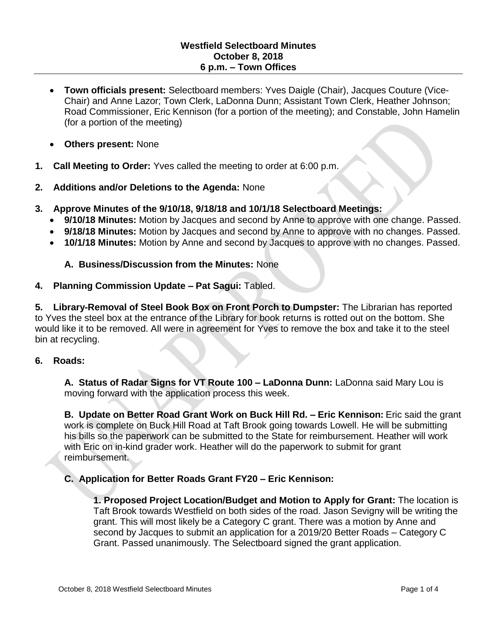- **Town officials present:** Selectboard members: Yves Daigle (Chair), Jacques Couture (Vice-Chair) and Anne Lazor; Town Clerk, LaDonna Dunn; Assistant Town Clerk, Heather Johnson; Road Commissioner, Eric Kennison (for a portion of the meeting); and Constable, John Hamelin (for a portion of the meeting)
- **Others present:** None
- **1. Call Meeting to Order:** Yves called the meeting to order at 6:00 p.m.
- **2. Additions and/or Deletions to the Agenda:** None
- **3. Approve Minutes of the 9/10/18, 9/18/18 and 10/1/18 Selectboard Meetings:**
	- **9/10/18 Minutes:** Motion by Jacques and second by Anne to approve with one change. Passed.
	- **9/18/18 Minutes:** Motion by Jacques and second by Anne to approve with no changes. Passed.
	- **10/1/18 Minutes:** Motion by Anne and second by Jacques to approve with no changes. Passed.

### **A. Business/Discussion from the Minutes:** None

### **4. Planning Commission Update – Pat Sagui:** Tabled.

**5. Library-Removal of Steel Book Box on Front Porch to Dumpster:** The Librarian has reported to Yves the steel box at the entrance of the Library for book returns is rotted out on the bottom. She would like it to be removed. All were in agreement for Yves to remove the box and take it to the steel bin at recycling.

### **6. Roads:**

**A. Status of Radar Signs for VT Route 100 – LaDonna Dunn:** LaDonna said Mary Lou is moving forward with the application process this week.

**B. Update on Better Road Grant Work on Buck Hill Rd. – Eric Kennison:** Eric said the grant work is complete on Buck Hill Road at Taft Brook going towards Lowell. He will be submitting his bills so the paperwork can be submitted to the State for reimbursement. Heather will work with Eric on in-kind grader work. Heather will do the paperwork to submit for grant reimbursement.

**C. Application for Better Roads Grant FY20 – Eric Kennison:**

**1. Proposed Project Location/Budget and Motion to Apply for Grant:** The location is Taft Brook towards Westfield on both sides of the road. Jason Sevigny will be writing the grant. This will most likely be a Category C grant. There was a motion by Anne and second by Jacques to submit an application for a 2019/20 Better Roads – Category C Grant. Passed unanimously. The Selectboard signed the grant application.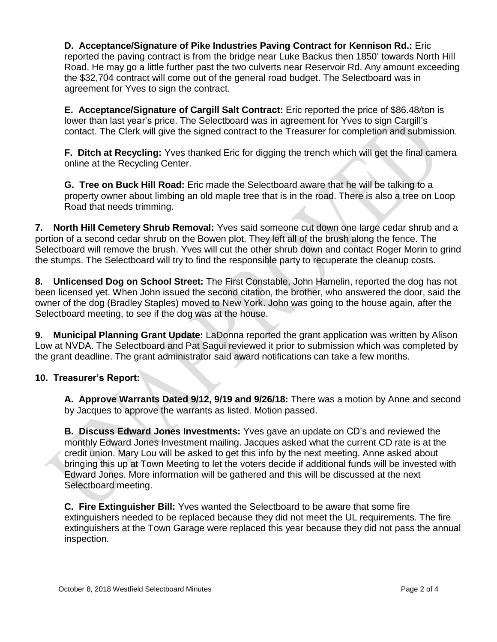**D. Acceptance/Signature of Pike Industries Paving Contract for Kennison Rd.:** Eric reported the paving contract is from the bridge near Luke Backus then 1850' towards North Hill Road. He may go a little further past the two culverts near Reservoir Rd. Any amount exceeding the \$32,704 contract will come out of the general road budget. The Selectboard was in agreement for Yves to sign the contract.

**E. Acceptance/Signature of Cargill Salt Contract:** Eric reported the price of \$86.48/ton is lower than last year's price. The Selectboard was in agreement for Yves to sign Cargill's contact. The Clerk will give the signed contract to the Treasurer for completion and submission.

**F. Ditch at Recycling:** Yves thanked Eric for digging the trench which will get the final camera online at the Recycling Center.

**G. Tree on Buck Hill Road:** Eric made the Selectboard aware that he will be talking to a property owner about limbing an old maple tree that is in the road. There is also a tree on Loop Road that needs trimming.

**7. North Hill Cemetery Shrub Removal:** Yves said someone cut down one large cedar shrub and a portion of a second cedar shrub on the Bowen plot. They left all of the brush along the fence. The Selectboard will remove the brush. Yves will cut the other shrub down and contact Roger Morin to grind the stumps. The Selectboard will try to find the responsible party to recuperate the cleanup costs.

**8. Unlicensed Dog on School Street:** The First Constable, John Hamelin, reported the dog has not been licensed yet. When John issued the second citation, the brother, who answered the door, said the owner of the dog (Bradley Staples) moved to New York. John was going to the house again, after the Selectboard meeting, to see if the dog was at the house.

**9. Municipal Planning Grant Update:** LaDonna reported the grant application was written by Alison Low at NVDA. The Selectboard and Pat Sagui reviewed it prior to submission which was completed by the grant deadline. The grant administrator said award notifications can take a few months.

## **10. Treasurer's Report:**

**A. Approve Warrants Dated 9/12, 9/19 and 9/26/18:** There was a motion by Anne and second by Jacques to approve the warrants as listed. Motion passed.

**B. Discuss Edward Jones Investments:** Yves gave an update on CD's and reviewed the monthly Edward Jones Investment mailing. Jacques asked what the current CD rate is at the credit union. Mary Lou will be asked to get this info by the next meeting. Anne asked about bringing this up at Town Meeting to let the voters decide if additional funds will be invested with Edward Jones. More information will be gathered and this will be discussed at the next Selectboard meeting.

**C. Fire Extinguisher Bill:** Yves wanted the Selectboard to be aware that some fire extinguishers needed to be replaced because they did not meet the UL requirements. The fire extinguishers at the Town Garage were replaced this year because they did not pass the annual inspection.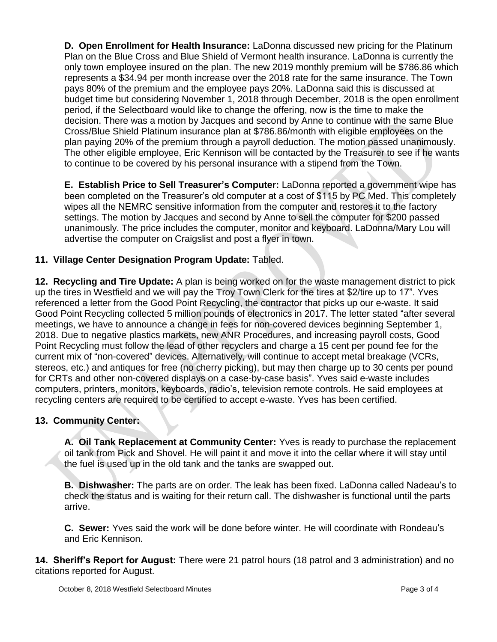**D. Open Enrollment for Health Insurance:** LaDonna discussed new pricing for the Platinum Plan on the Blue Cross and Blue Shield of Vermont health insurance. LaDonna is currently the only town employee insured on the plan. The new 2019 monthly premium will be \$786.86 which represents a \$34.94 per month increase over the 2018 rate for the same insurance. The Town pays 80% of the premium and the employee pays 20%. LaDonna said this is discussed at budget time but considering November 1, 2018 through December, 2018 is the open enrollment period, if the Selectboard would like to change the offering, now is the time to make the decision. There was a motion by Jacques and second by Anne to continue with the same Blue Cross/Blue Shield Platinum insurance plan at \$786.86/month with eligible employees on the plan paying 20% of the premium through a payroll deduction. The motion passed unanimously. The other eligible employee, Eric Kennison will be contacted by the Treasurer to see if he wants to continue to be covered by his personal insurance with a stipend from the Town.

**E. Establish Price to Sell Treasurer's Computer:** LaDonna reported a government wipe has been completed on the Treasurer's old computer at a cost of \$115 by PC Med. This completely wipes all the NEMRC sensitive information from the computer and restores it to the factory settings. The motion by Jacques and second by Anne to sell the computer for \$200 passed unanimously. The price includes the computer, monitor and keyboard. LaDonna/Mary Lou will advertise the computer on Craigslist and post a flyer in town.

# **11. Village Center Designation Program Update:** Tabled.

**12. Recycling and Tire Update:** A plan is being worked on for the waste management district to pick up the tires in Westfield and we will pay the Troy Town Clerk for the tires at \$2/tire up to 17". Yves referenced a letter from the Good Point Recycling, the contractor that picks up our e-waste. It said Good Point Recycling collected 5 million pounds of electronics in 2017. The letter stated "after several meetings, we have to announce a change in fees for non-covered devices beginning September 1, 2018. Due to negative plastics markets, new ANR Procedures, and increasing payroll costs, Good Point Recycling must follow the lead of other recyclers and charge a 15 cent per pound fee for the current mix of "non-covered" devices. Alternatively, will continue to accept metal breakage (VCRs, stereos, etc.) and antiques for free (no cherry picking), but may then charge up to 30 cents per pound for CRTs and other non-covered displays on a case-by-case basis". Yves said e-waste includes computers, printers, monitors, keyboards, radio's, television remote controls. He said employees at recycling centers are required to be certified to accept e-waste. Yves has been certified.

## **13. Community Center:**

**A. Oil Tank Replacement at Community Center:** Yves is ready to purchase the replacement oil tank from Pick and Shovel. He will paint it and move it into the cellar where it will stay until the fuel is used up in the old tank and the tanks are swapped out.

**B. Dishwasher:** The parts are on order. The leak has been fixed. LaDonna called Nadeau's to check the status and is waiting for their return call. The dishwasher is functional until the parts arrive.

**C. Sewer:** Yves said the work will be done before winter. He will coordinate with Rondeau's and Eric Kennison.

**14. Sheriff's Report for August:** There were 21 patrol hours (18 patrol and 3 administration) and no citations reported for August.